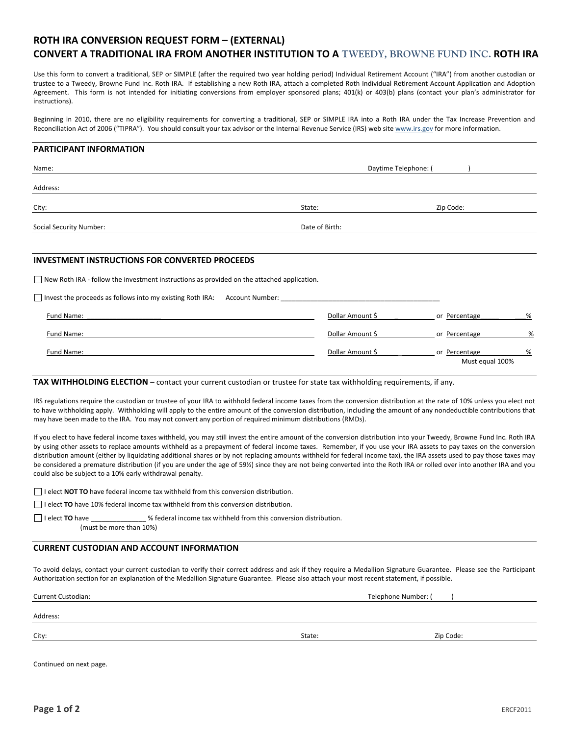# **ROTH IRA CONVERSION REQUEST FORM – (EXTERNAL)**

## **CONVERT A TRADITIONAL IRA FROM ANOTHER INSTITUTION TO A TWEEDY, BROWNE FUND INC. ROTH IRA**

Use this form to convert a traditional, SEP or SIMPLE (after the required two year holding period) Individual Retirement Account ("IRA") from another custodian or trustee to a Tweedy, Browne Fund Inc. Roth IRA. If establishing a new Roth IRA, attach a completed Roth Individual Retirement Account Application and Adoption Agreement. This form is not intended for initiating conversions from employer sponsored plans; 401(k) or 403(b) plans (contact your plan's administrator for instructions).

Beginning in 2010, there are no eligibility requirements for converting a traditional, SEP or SIMPLE IRA into a Roth IRA under the Tax Increase Prevention and Reconciliation Act of 2006 ("TIPRA"). You should consult your tax advisor or the Internal Revenue Service (IRS) web site www.irs.gov for more information.

## **PARTICIPANT INFORMATION**

| Name:                                                                                      | Daytime Telephone: ( |               |   |
|--------------------------------------------------------------------------------------------|----------------------|---------------|---|
| Address:                                                                                   |                      |               |   |
| City:                                                                                      | State:               | Zip Code:     |   |
| <b>Social Security Number:</b>                                                             | Date of Birth:       |               |   |
|                                                                                            |                      |               |   |
| <b>INVESTMENT INSTRUCTIONS FOR CONVERTED PROCEEDS</b>                                      |                      |               |   |
| New Roth IRA - follow the investment instructions as provided on the attached application. |                      |               |   |
| Invest the proceeds as follows into my existing Roth IRA: Account Number:                  |                      |               |   |
| Fund Name:                                                                                 | Dollar Amount \$     | or Percentage | % |

| Fund Name: | Dollar Amount S  | or Percentage                    | %                |
|------------|------------------|----------------------------------|------------------|
| Fund Name: | Dollar Amount \$ | or Percentage<br>Must equal 100% | $O_{\mathbb{A}}$ |
|            |                  |                                  |                  |

### **TAX WITHHOLDING ELECTION** – contact your current custodian or trustee for state tax withholding requirements, if any.

IRS regulations require the custodian or trustee of your IRA to withhold federal income taxes from the conversion distribution at the rate of 10% unless you elect not to have withholding apply. Withholding will apply to the entire amount of the conversion distribution, including the amount of any nondeductible contributions that may have been made to the IRA. You may not convert any portion of required minimum distributions (RMDs).

If you elect to have federal income taxes withheld, you may still invest the entire amount of the conversion distribution into your Tweedy, Browne Fund Inc. Roth IRA by using other assets to replace amounts withheld as a prepayment of federal income taxes. Remember, if you use your IRA assets to pay taxes on the conversion distribution amount (either by liquidating additional shares or by not replacing amounts withheld for federal income tax), the IRA assets used to pay those taxes may be considered a premature distribution (if you are under the age of 59%) since they are not being converted into the Roth IRA or rolled over into another IRA and you could also be subject to a 10% early withdrawal penalty.

I elect **NOT TO** have federal income tax withheld from this conversion distribution.

I elect **TO** have 10% federal income tax withheld from this conversion distribution.

I elect **TO** have  $\blacksquare$  is elect **TO** have  $\blacksquare$  withheld from this conversion distribution.

(must be more than 10%)

## **CURRENT CUSTODIAN AND ACCOUNT INFORMATION**

To avoid delays, contact your current custodian to verify their correct address and ask if they require a Medallion Signature Guarantee. Please see the Participant Authorization section for an explanation of the Medallion Signature Guarantee. Please also attach your most recent statement, if possible.

Current Custodian: Telephone Number: (  $\blacksquare$ 

Address:

City: State: Zip Code:

Continued on next page.